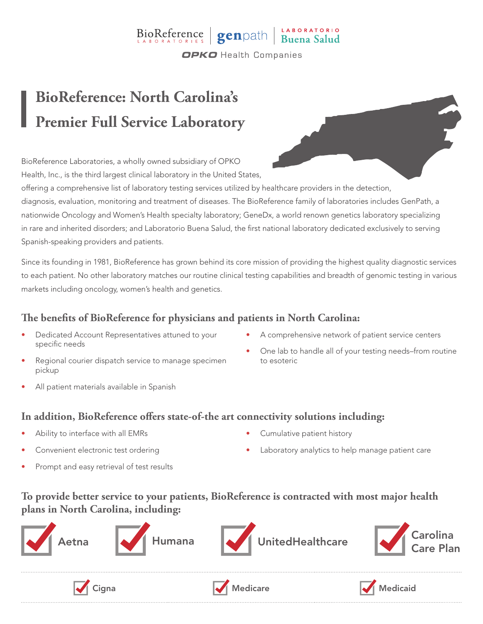### BioReference genpath Buena Salud **OPKO** Health Companies

# **BioReference: North Carolina's Premier Full Service Laboratory**

BioReference Laboratories, a wholly owned subsidiary of OPKO Health, Inc., is the third largest clinical laboratory in the United States,

offering a comprehensive list of laboratory testing services utilized by healthcare providers in the detection, diagnosis, evaluation, monitoring and treatment of diseases. The BioReference family of laboratories includes GenPath, a nationwide Oncology and Women's Health specialty laboratory; GeneDx, a world renown genetics laboratory specializing in rare and inherited disorders; and Laboratorio Buena Salud, the first national laboratory dedicated exclusively to serving Spanish-speaking providers and patients.

Since its founding in 1981, BioReference has grown behind its core mission of providing the highest quality diagnostic services to each patient. No other laboratory matches our routine clinical testing capabilities and breadth of genomic testing in various markets including oncology, women's health and genetics.

### **The benefits of BioReference for physicians and patients in North Carolina:**

- Dedicated Account Representatives attuned to your specific needs
- Regional courier dispatch service to manage specimen pickup
- All patient materials available in Spanish
- A comprehensive network of patient service centers
- One lab to handle all of your testing needs–from routine to esoteric

#### **In addition, BioReference offers state-of-the art connectivity solutions including:**

- Ability to interface with all EMRs
- Convenient electronic test ordering
- Prompt and easy retrieval of test results
- Cumulative patient history
- Laboratory analytics to help manage patient care

#### **To provide better service to your patients, BioReference is contracted with most major health plans in North Carolina, including:**